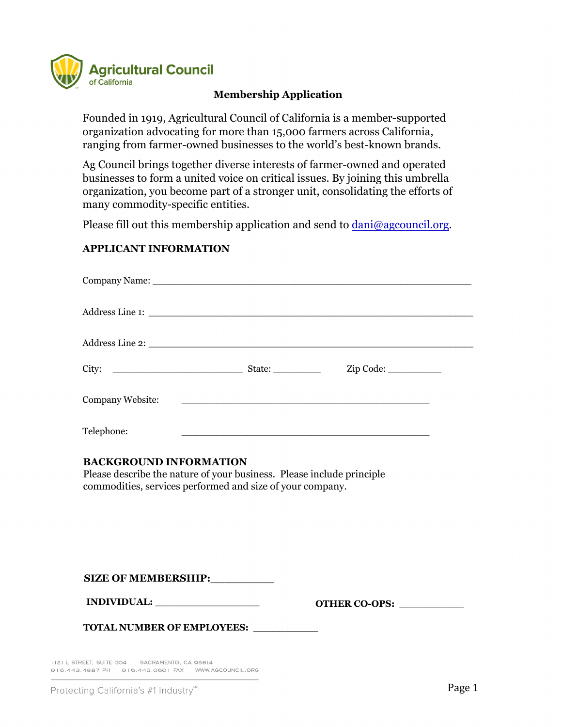

# **Membership Application**

Founded in 1919, Agricultural Council of California is a member-supported organization advocating for more than 15,000 farmers across California, ranging from farmer-owned businesses to the world's best-known brands.

Ag Council brings together diverse interests of farmer-owned and operated businesses to form a united voice on critical issues. By joining this umbrella organization, you become part of a stronger unit, consolidating the efforts of many commodity-specific entities.

Please fill out this membership application and send to [dani@agcouncil.org](mailto:dani@agcouncil.org).

## **APPLICANT INFORMATION**

|                  |                                                                                                                      | $Zip Code: \_\_$ |  |
|------------------|----------------------------------------------------------------------------------------------------------------------|------------------|--|
| Company Website: | <u> 1980 - Antonio Alemania, prima postala de la provincia de la provincia de la provincia de la provincia de la</u> |                  |  |
| Telephone:       |                                                                                                                      |                  |  |

## **BACKGROUND INFORMATION**

Please describe the nature of your business. Please include principle commodities, services performed and size of your company.

**SIZE OF MEMBERSHIP:\_\_\_\_\_\_\_\_\_**

**INDIVIDUAL: \_\_\_\_\_\_\_\_\_\_\_\_\_\_\_\_**

**TOTAL NUMBER OF EMPLOYEES: \_\_\_\_\_\_\_\_\_\_** 

II2I L STREET, SUITE 304 SACRAMENTO, CA 95814 916.443.4887 PH 916.443.0601 FAX WWW.AGCOUNCIL.ORG